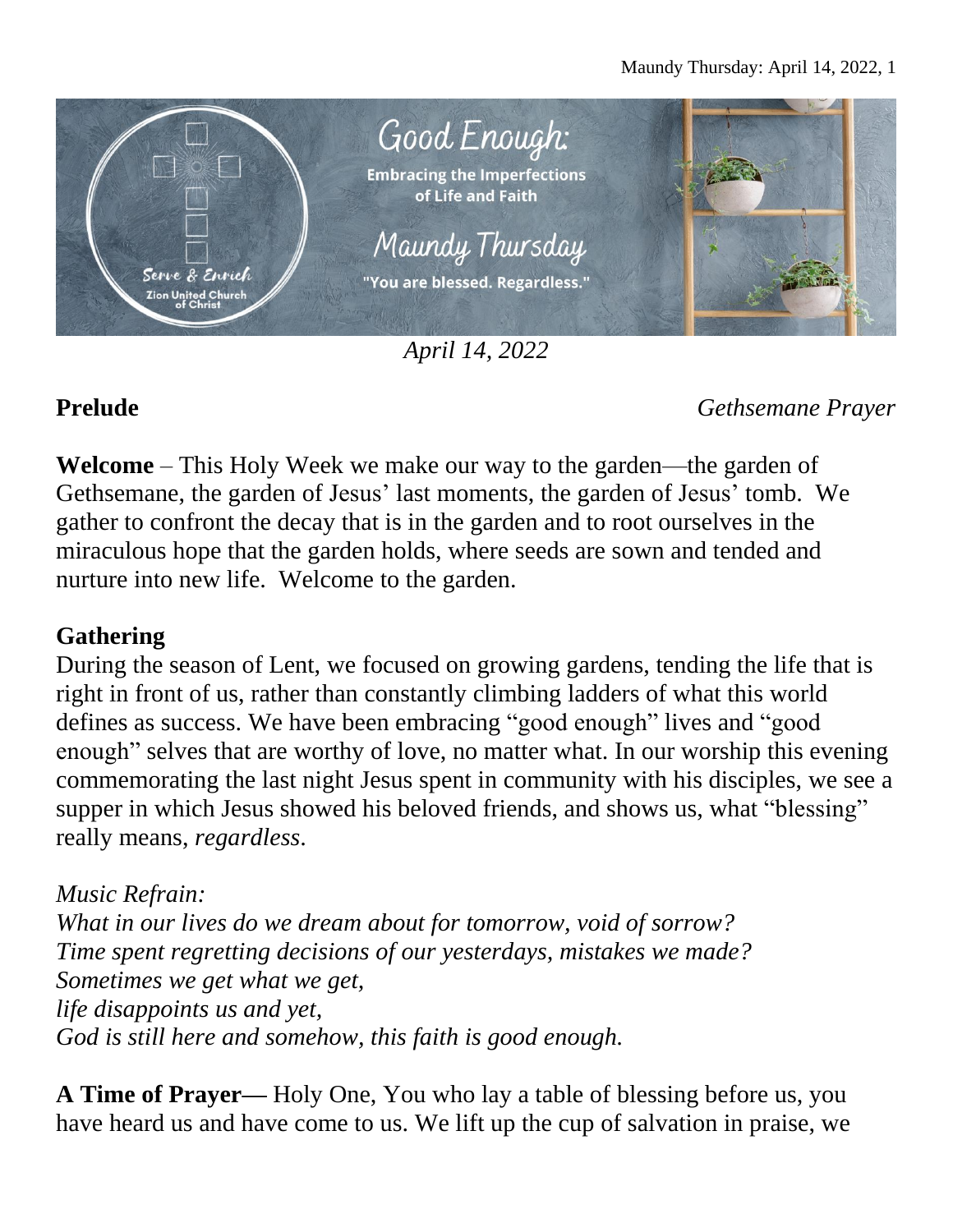

*April 14, 2022*

**Prelude** *Gethsemane Prayer*

**Welcome** – This Holy Week we make our way to the garden—the garden of Gethsemane, the garden of Jesus' last moments, the garden of Jesus' tomb. We gather to confront the decay that is in the garden and to root ourselves in the miraculous hope that the garden holds, where seeds are sown and tended and nurture into new life. Welcome to the garden.

# **Gathering**

During the season of Lent, we focused on growing gardens, tending the life that is right in front of us, rather than constantly climbing ladders of what this world defines as success. We have been embracing "good enough" lives and "good enough" selves that are worthy of love, no matter what. In our worship this evening commemorating the last night Jesus spent in community with his disciples, we see a supper in which Jesus showed his beloved friends, and shows us, what "blessing" really means, *regardless*.

*Music Refrain:*

*What in our lives do we dream about for tomorrow, void of sorrow? Time spent regretting decisions of our yesterdays, mistakes we made? Sometimes we get what we get, life disappoints us and yet, God is still here and somehow, this faith is good enough.*

**A Time of Prayer—** Holy One, You who lay a table of blessing before us, you have heard us and have come to us. We lift up the cup of salvation in praise, we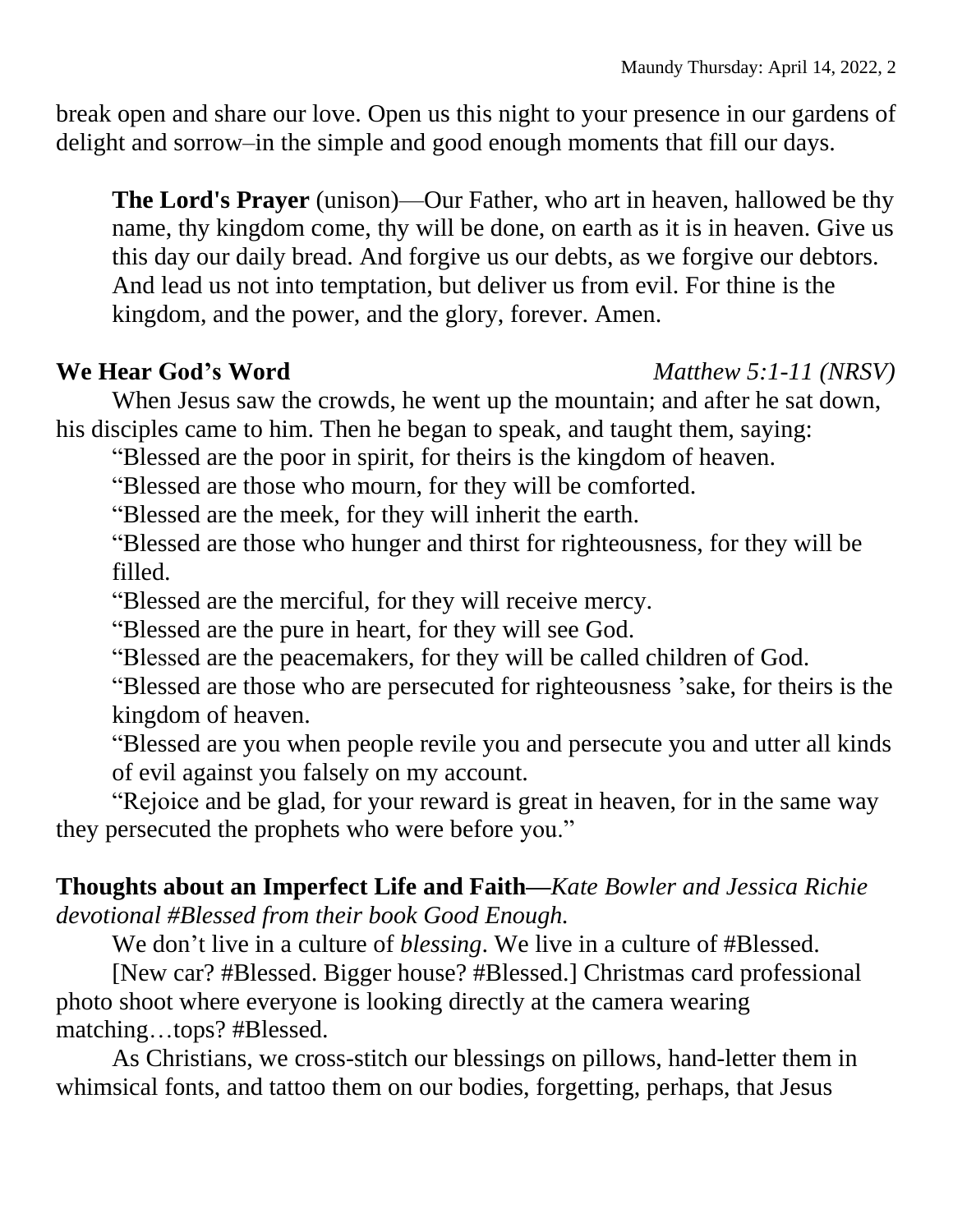break open and share our love. Open us this night to your presence in our gardens of delight and sorrow–in the simple and good enough moments that fill our days.

**The Lord's Prayer** (unison)—Our Father, who art in heaven, hallowed be thy name, thy kingdom come, thy will be done, on earth as it is in heaven. Give us this day our daily bread. And forgive us our debts, as we forgive our debtors. And lead us not into temptation, but deliver us from evil. For thine is the kingdom, and the power, and the glory, forever. Amen.

## **We Hear God's Word** *Matthew 5:1-11 (NRSV)*

When Jesus saw the crowds, he went up the mountain; and after he sat down, his disciples came to him. Then he began to speak, and taught them, saying:

"Blessed are the poor in spirit, for theirs is the kingdom of heaven.

"Blessed are those who mourn, for they will be comforted.

"Blessed are the meek, for they will inherit the earth.

"Blessed are those who hunger and thirst for righteousness, for they will be filled.

"Blessed are the merciful, for they will receive mercy.

"Blessed are the pure in heart, for they will see God.

"Blessed are the peacemakers, for they will be called children of God.

"Blessed are those who are persecuted for righteousness 'sake, for theirs is the kingdom of heaven.

"Blessed are you when people revile you and persecute you and utter all kinds of evil against you falsely on my account.

"Rejoice and be glad, for your reward is great in heaven, for in the same way they persecuted the prophets who were before you."

## **Thoughts about an Imperfect Life and Faith—***Kate Bowler and Jessica Richie devotional #Blessed from their book Good Enough.*

We don't live in a culture of *blessing*. We live in a culture of #Blessed.

[New car? #Blessed. Bigger house? #Blessed.] Christmas card professional photo shoot where everyone is looking directly at the camera wearing matching…tops? #Blessed.

As Christians, we cross-stitch our blessings on pillows, hand-letter them in whimsical fonts, and tattoo them on our bodies, forgetting, perhaps, that Jesus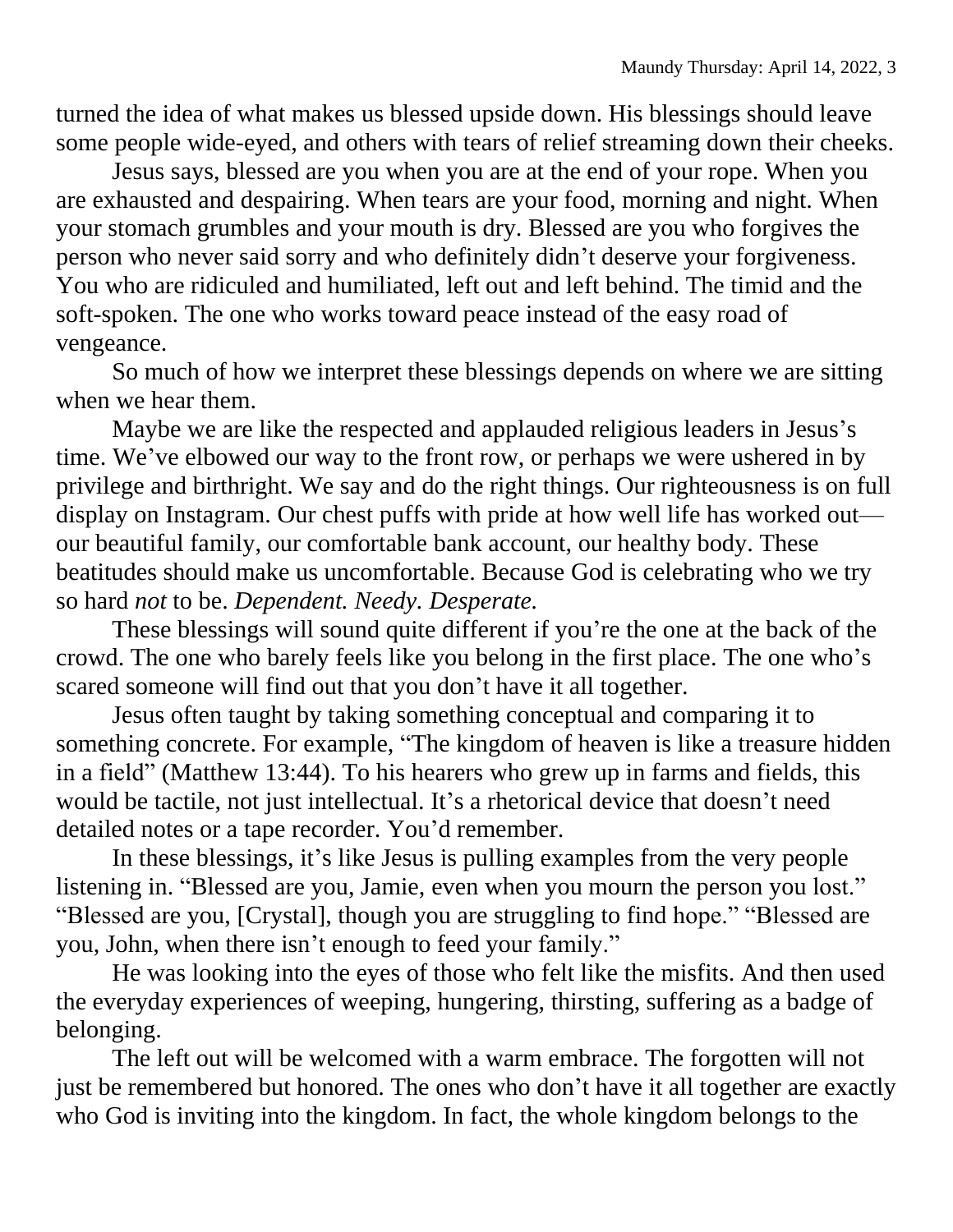turned the idea of what makes us blessed upside down. His blessings should leave some people wide-eyed, and others with tears of relief streaming down their cheeks.

Jesus says, blessed are you when you are at the end of your rope. When you are exhausted and despairing. When tears are your food, morning and night. When your stomach grumbles and your mouth is dry. Blessed are you who forgives the person who never said sorry and who definitely didn't deserve your forgiveness. You who are ridiculed and humiliated, left out and left behind. The timid and the soft-spoken. The one who works toward peace instead of the easy road of vengeance.

So much of how we interpret these blessings depends on where we are sitting when we hear them.

Maybe we are like the respected and applauded religious leaders in Jesus's time. We've elbowed our way to the front row, or perhaps we were ushered in by privilege and birthright. We say and do the right things. Our righteousness is on full display on Instagram. Our chest puffs with pride at how well life has worked out our beautiful family, our comfortable bank account, our healthy body. These beatitudes should make us uncomfortable. Because God is celebrating who we try so hard *not* to be. *Dependent. Needy. Desperate.*

These blessings will sound quite different if you're the one at the back of the crowd. The one who barely feels like you belong in the first place. The one who's scared someone will find out that you don't have it all together.

Jesus often taught by taking something conceptual and comparing it to something concrete. For example, "The kingdom of heaven is like a treasure hidden in a field" (Matthew 13:44). To his hearers who grew up in farms and fields, this would be tactile, not just intellectual. It's a rhetorical device that doesn't need detailed notes or a tape recorder. You'd remember.

In these blessings, it's like Jesus is pulling examples from the very people listening in. "Blessed are you, Jamie, even when you mourn the person you lost." "Blessed are you, [Crystal], though you are struggling to find hope." "Blessed are you, John, when there isn't enough to feed your family."

He was looking into the eyes of those who felt like the misfits. And then used the everyday experiences of weeping, hungering, thirsting, suffering as a badge of belonging.

The left out will be welcomed with a warm embrace. The forgotten will not just be remembered but honored. The ones who don't have it all together are exactly who God is inviting into the kingdom. In fact, the whole kingdom belongs to the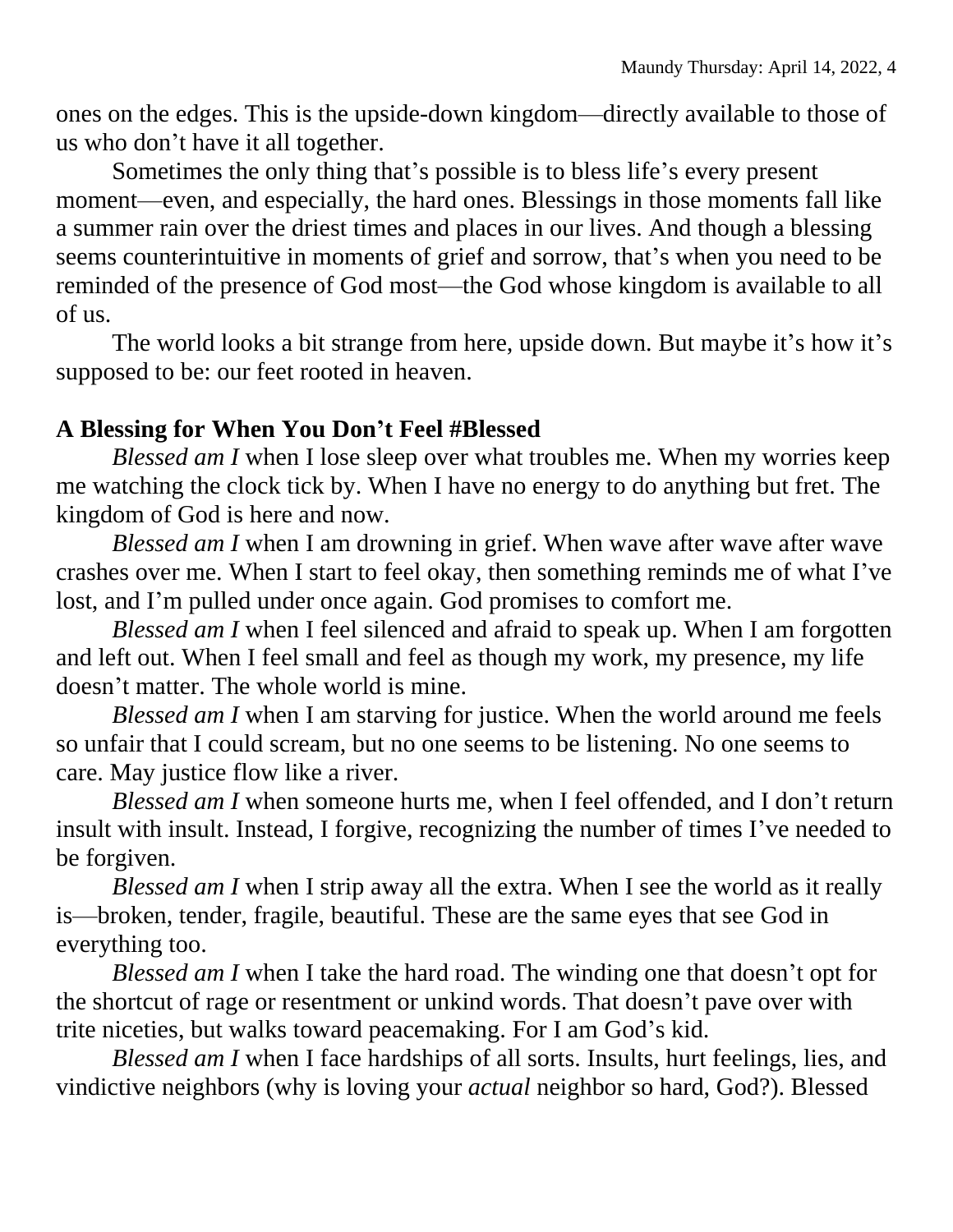ones on the edges. This is the upside-down kingdom—directly available to those of us who don't have it all together.

Sometimes the only thing that's possible is to bless life's every present moment—even, and especially, the hard ones. Blessings in those moments fall like a summer rain over the driest times and places in our lives. And though a blessing seems counterintuitive in moments of grief and sorrow, that's when you need to be reminded of the presence of God most—the God whose kingdom is available to all of us.

The world looks a bit strange from here, upside down. But maybe it's how it's supposed to be: our feet rooted in heaven.

## **A Blessing for When You Don't Feel #Blessed**

*Blessed am I* when I lose sleep over what troubles me. When my worries keep me watching the clock tick by. When I have no energy to do anything but fret. The kingdom of God is here and now.

*Blessed am I* when I am drowning in grief. When wave after wave after wave crashes over me. When I start to feel okay, then something reminds me of what I've lost, and I'm pulled under once again. God promises to comfort me.

*Blessed am I* when I feel silenced and afraid to speak up. When I am forgotten and left out. When I feel small and feel as though my work, my presence, my life doesn't matter. The whole world is mine.

*Blessed am I* when I am starving for justice. When the world around me feels so unfair that I could scream, but no one seems to be listening. No one seems to care. May justice flow like a river.

*Blessed am I* when someone hurts me, when I feel offended, and I don't return insult with insult. Instead, I forgive, recognizing the number of times I've needed to be forgiven.

*Blessed am I* when I strip away all the extra. When I see the world as it really is—broken, tender, fragile, beautiful. These are the same eyes that see God in everything too.

*Blessed am I* when I take the hard road. The winding one that doesn't opt for the shortcut of rage or resentment or unkind words. That doesn't pave over with trite niceties, but walks toward peacemaking. For I am God's kid.

*Blessed am I* when I face hardships of all sorts. Insults, hurt feelings, lies, and vindictive neighbors (why is loving your *actual* neighbor so hard, God?). Blessed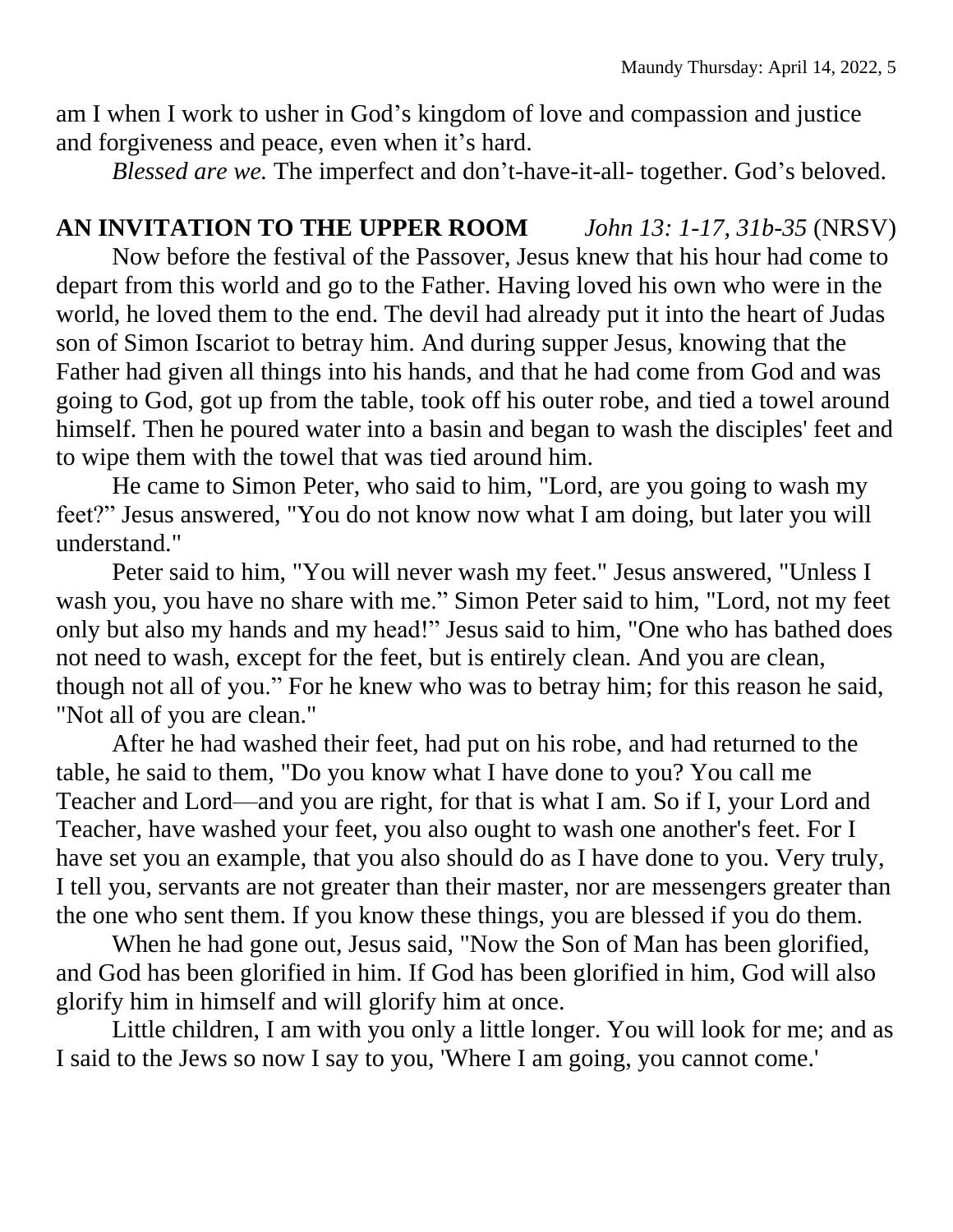am I when I work to usher in God's kingdom of love and compassion and justice and forgiveness and peace, even when it's hard.

*Blessed are we.* The imperfect and don't-have-it-all- together. God's beloved.

**AN INVITATION TO THE UPPER ROOM** *John 13: 1-17, 31b-35* (NRSV) Now before the festival of the Passover, Jesus knew that his hour had come to depart from this world and go to the Father. Having loved his own who were in the world, he loved them to the end. The devil had already put it into the heart of Judas son of Simon Iscariot to betray him. And during supper Jesus, knowing that the Father had given all things into his hands, and that he had come from God and was going to God, got up from the table, took off his outer robe, and tied a towel around himself. Then he poured water into a basin and began to wash the disciples' feet and to wipe them with the towel that was tied around him.

He came to Simon Peter, who said to him, "Lord, are you going to wash my feet?" Jesus answered, "You do not know now what I am doing, but later you will understand."

Peter said to him, "You will never wash my feet." Jesus answered, "Unless I wash you, you have no share with me." Simon Peter said to him, "Lord, not my feet only but also my hands and my head!" Jesus said to him, "One who has bathed does not need to wash, except for the feet, but is entirely clean. And you are clean, though not all of you." For he knew who was to betray him; for this reason he said, "Not all of you are clean."

After he had washed their feet, had put on his robe, and had returned to the table, he said to them, "Do you know what I have done to you? You call me Teacher and Lord—and you are right, for that is what I am. So if I, your Lord and Teacher, have washed your feet, you also ought to wash one another's feet. For I have set you an example, that you also should do as I have done to you. Very truly, I tell you, servants are not greater than their master, nor are messengers greater than the one who sent them. If you know these things, you are blessed if you do them.

When he had gone out, Jesus said, "Now the Son of Man has been glorified, and God has been glorified in him. If God has been glorified in him, God will also glorify him in himself and will glorify him at once.

Little children, I am with you only a little longer. You will look for me; and as I said to the Jews so now I say to you, 'Where I am going, you cannot come.'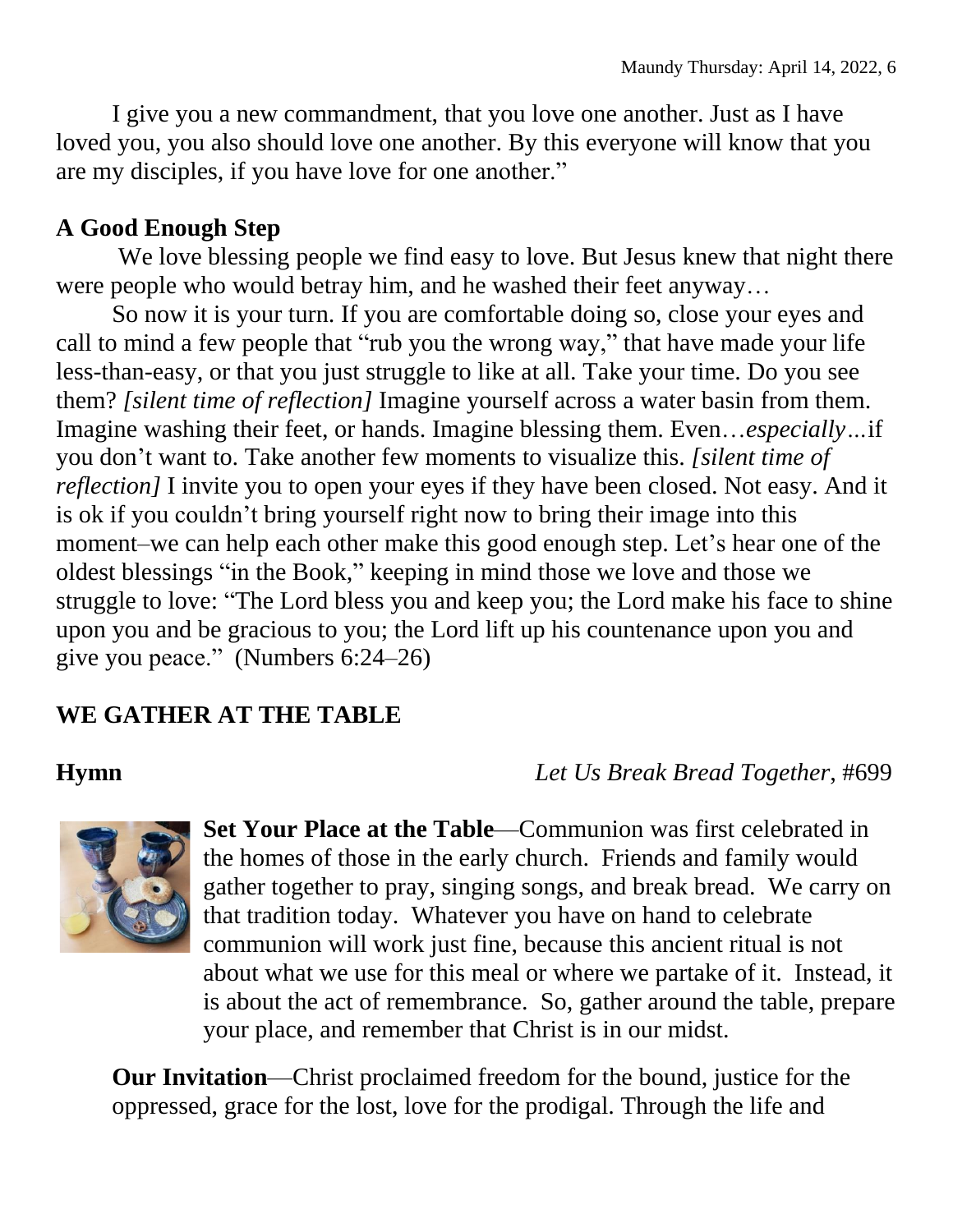I give you a new commandment, that you love one another. Just as I have loved you, you also should love one another. By this everyone will know that you are my disciples, if you have love for one another."

# **A Good Enough Step**

We love blessing people we find easy to love. But Jesus knew that night there were people who would betray him, and he washed their feet anyway…

So now it is your turn. If you are comfortable doing so, close your eyes and call to mind a few people that "rub you the wrong way," that have made your life less-than-easy, or that you just struggle to like at all. Take your time. Do you see them? *[silent time of reflection]* Imagine yourself across a water basin from them. Imagine washing their feet, or hands. Imagine blessing them. Even…*especially…*if you don't want to. Take another few moments to visualize this. *[silent time of reflection I* invite you to open your eyes if they have been closed. Not easy. And it is ok if you couldn't bring yourself right now to bring their image into this moment–we can help each other make this good enough step. Let's hear one of the oldest blessings "in the Book," keeping in mind those we love and those we struggle to love: "The Lord bless you and keep you; the Lord make his face to shine upon you and be gracious to you; the Lord lift up his countenance upon you and give you peace." (Numbers 6:24–26)

# **WE GATHER AT THE TABLE**

# **Hymn** *Let Us Break Bread Together*, #699



**Set Your Place at the Table**—Communion was first celebrated in the homes of those in the early church. Friends and family would gather together to pray, singing songs, and break bread. We carry on that tradition today. Whatever you have on hand to celebrate communion will work just fine, because this ancient ritual is not about what we use for this meal or where we partake of it. Instead, it is about the act of remembrance. So, gather around the table, prepare your place, and remember that Christ is in our midst.

**Our Invitation**—Christ proclaimed freedom for the bound, justice for the oppressed, grace for the lost, love for the prodigal. Through the life and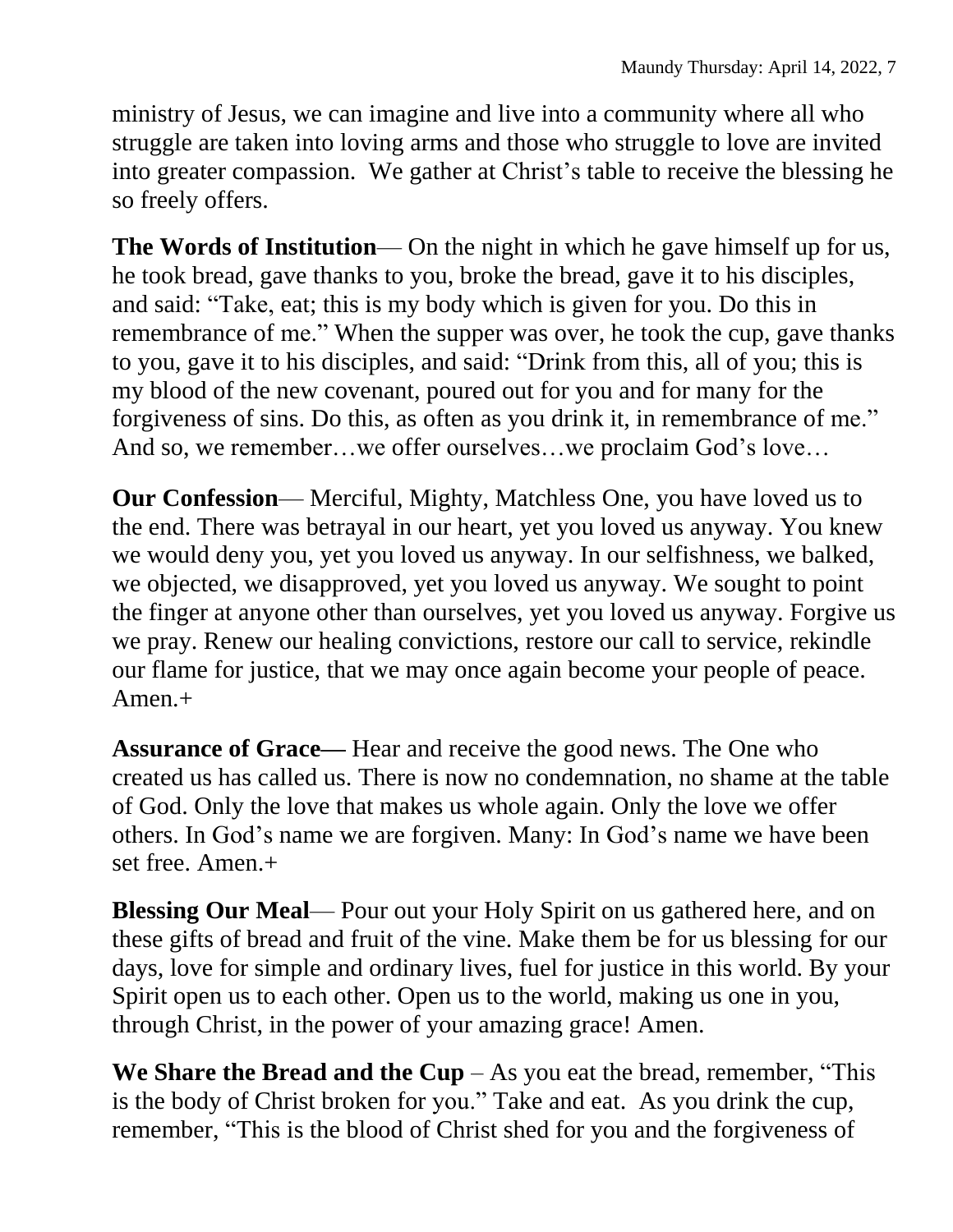ministry of Jesus, we can imagine and live into a community where all who struggle are taken into loving arms and those who struggle to love are invited into greater compassion. We gather at Christ's table to receive the blessing he so freely offers.

**The Words of Institution**— On the night in which he gave himself up for us, he took bread, gave thanks to you, broke the bread, gave it to his disciples, and said: "Take, eat; this is my body which is given for you. Do this in remembrance of me." When the supper was over, he took the cup, gave thanks to you, gave it to his disciples, and said: "Drink from this, all of you; this is my blood of the new covenant, poured out for you and for many for the forgiveness of sins. Do this, as often as you drink it, in remembrance of me." And so, we remember…we offer ourselves…we proclaim God's love…

**Our Confession**— Merciful, Mighty, Matchless One, you have loved us to the end. There was betrayal in our heart, yet you loved us anyway. You knew we would deny you, yet you loved us anyway. In our selfishness, we balked, we objected, we disapproved, yet you loved us anyway. We sought to point the finger at anyone other than ourselves, yet you loved us anyway. Forgive us we pray. Renew our healing convictions, restore our call to service, rekindle our flame for justice, that we may once again become your people of peace. Amen.+

**Assurance of Grace—** Hear and receive the good news. The One who created us has called us. There is now no condemnation, no shame at the table of God. Only the love that makes us whole again. Only the love we offer others. In God's name we are forgiven. Many: In God's name we have been set free. Amen.+

**Blessing Our Meal**— Pour out your Holy Spirit on us gathered here, and on these gifts of bread and fruit of the vine. Make them be for us blessing for our days, love for simple and ordinary lives, fuel for justice in this world. By your Spirit open us to each other. Open us to the world, making us one in you, through Christ, in the power of your amazing grace! Amen.

**We Share the Bread and the Cup** – As you eat the bread, remember, "This is the body of Christ broken for you." Take and eat. As you drink the cup, remember, "This is the blood of Christ shed for you and the forgiveness of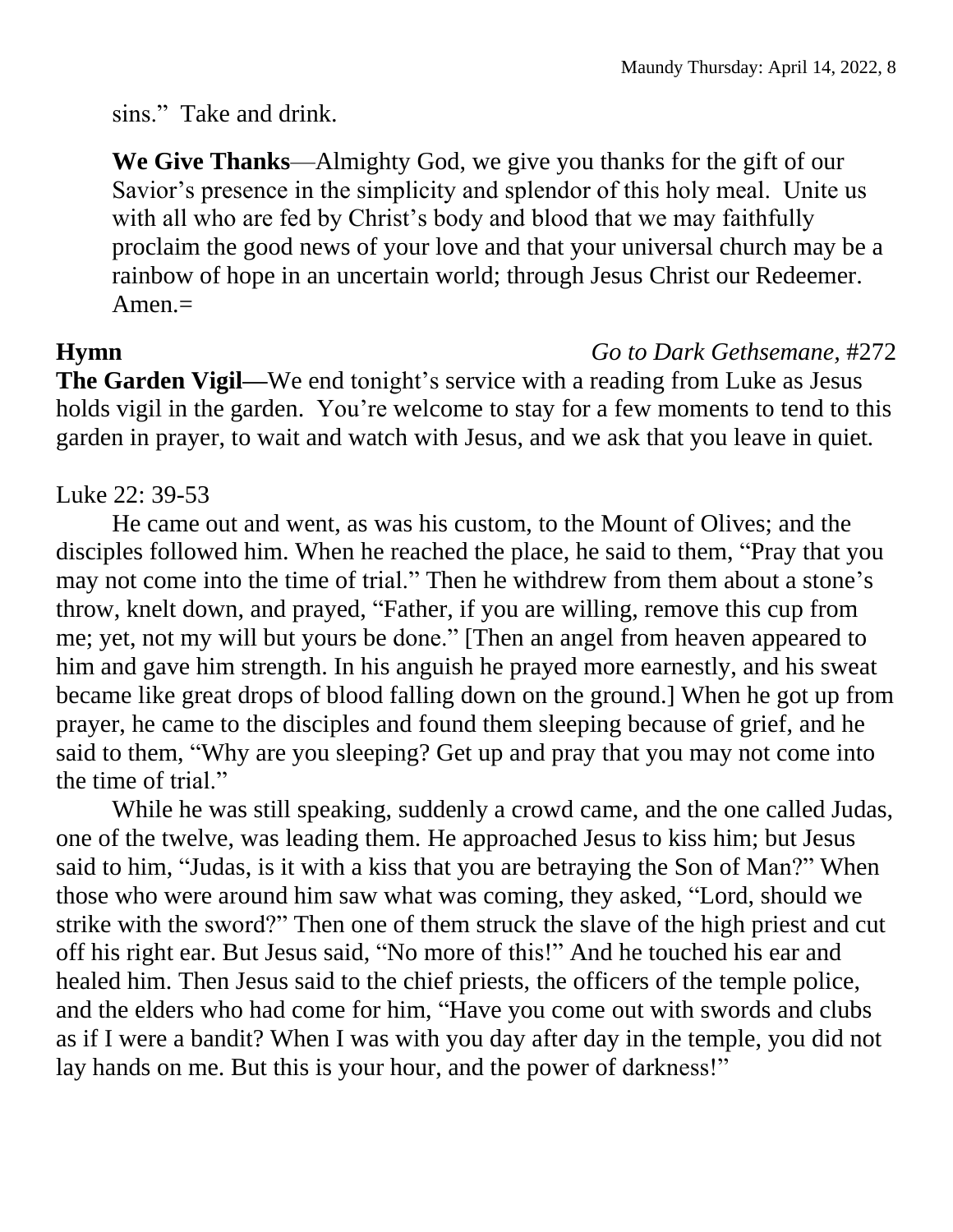sins." Take and drink.

**We Give Thanks**—Almighty God, we give you thanks for the gift of our Savior's presence in the simplicity and splendor of this holy meal. Unite us with all who are fed by Christ's body and blood that we may faithfully proclaim the good news of your love and that your universal church may be a rainbow of hope in an uncertain world; through Jesus Christ our Redeemer.  $A$ men. $=$ 

## **Hymn** *Go to Dark Gethsemane,* #272

**The Garden Vigil—**We end tonight's service with a reading from Luke as Jesus holds vigil in the garden. You're welcome to stay for a few moments to tend to this garden in prayer, to wait and watch with Jesus, and we ask that you leave in quiet*.* 

## Luke 22: 39-53

He came out and went, as was his custom, to the Mount of Olives; and the disciples followed him. When he reached the place, he said to them, "Pray that you may not come into the time of trial." Then he withdrew from them about a stone's throw, knelt down, and prayed, "Father, if you are willing, remove this cup from me; yet, not my will but yours be done." [Then an angel from heaven appeared to him and gave him strength. In his anguish he prayed more earnestly, and his sweat became like great drops of blood falling down on the ground.] When he got up from prayer, he came to the disciples and found them sleeping because of grief, and he said to them, "Why are you sleeping? Get up and pray that you may not come into the time of trial."

While he was still speaking, suddenly a crowd came, and the one called Judas, one of the twelve, was leading them. He approached Jesus to kiss him; but Jesus said to him, "Judas, is it with a kiss that you are betraying the Son of Man?" When those who were around him saw what was coming, they asked, "Lord, should we strike with the sword?" Then one of them struck the slave of the high priest and cut off his right ear. But Jesus said, "No more of this!" And he touched his ear and healed him. Then Jesus said to the chief priests, the officers of the temple police, and the elders who had come for him, "Have you come out with swords and clubs as if I were a bandit? When I was with you day after day in the temple, you did not lay hands on me. But this is your hour, and the power of darkness!"